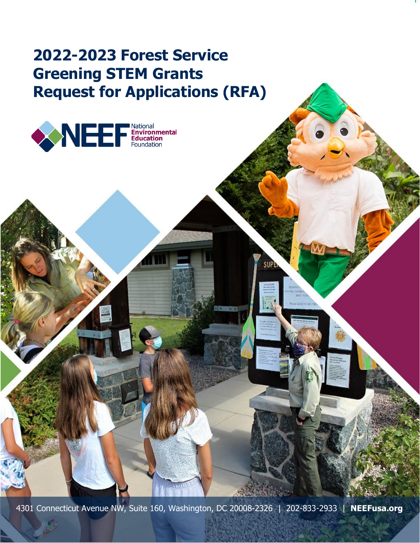# **2022-2023 Forest Service Greening STEM Grants Request for Applications (RFA)**



4301 Connecticut Avenue NW, Suite 160, Washington, DC 20008-2326 | 202-833-2933 | **NEEFusa.org**

**SUPE**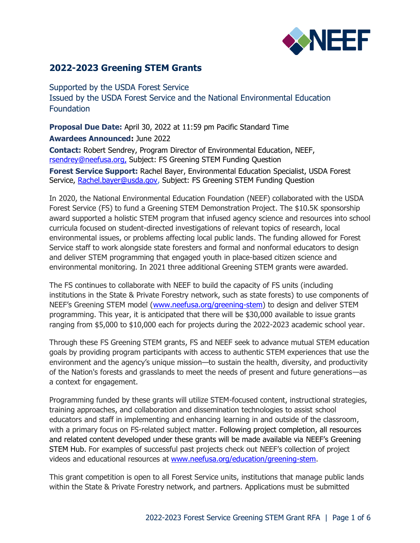

## **2022-2023 Greening STEM Grants**

Supported by the USDA Forest Service Issued by the USDA Forest Service and the National Environmental Education **Foundation** 

**Proposal Due Date:** April 30, 2022 at 11:59 pm Pacific Standard Time **Awardees Announced:** June 2022

**Contact:** Robert Sendrey, Program Director of Environmental Education, NEEF, [rsendrey@neefusa.org,](mailto:rsendrey@neefusa.org) Subject: FS Greening STEM Funding Question

**Forest Service Support:** Rachel Bayer, Environmental Education Specialist, USDA Forest Service, [Rachel.bayer@usda.gov,](mailto:Rachel.bayer@usda.gov) Subject: FS Greening STEM Funding Question

In 2020, the National Environmental Education Foundation (NEEF) collaborated with the USDA Forest Service (FS) to fund a Greening STEM Demonstration Project. The \$10.5K sponsorship award supported a holistic STEM program that infused agency science and resources into school curricula focused on student-directed investigations of relevant topics of research, local environmental issues, or problems affecting local public lands. The funding allowed for Forest Service staff to work alongside state foresters and formal and nonformal educators to design and deliver STEM programming that engaged youth in place-based citizen science and environmental monitoring. In 2021 three additional Greening STEM grants were awarded.

The FS continues to collaborate with NEEF to build the capacity of FS units (including institutions in the State & Private Forestry network, such as state forests) to use components of NEEF's Greening STEM model ([www.neefusa.org/greening-stem\)](http://www.neefusa.org/greening-stem) to design and deliver STEM programming. This year, it is anticipated that there will be \$30,000 available to issue grants ranging from \$5,000 to \$10,000 each for projects during the 2022-2023 academic school year.

Through these FS Greening STEM grants, FS and NEEF seek to advance mutual STEM education goals by providing program participants with access to authentic STEM experiences that use the environment and the agency's unique mission—to sustain the health, diversity, and productivity of the Nation's forests and grasslands to meet the needs of present and future generations—as a context for engagement.

Programming funded by these grants will utilize STEM-focused content, instructional strategies, training approaches, and collaboration and dissemination technologies to assist school educators and staff in implementing and enhancing learning in and outside of the classroom, with a primary focus on FS-related subject matter. Following project completion, all resources and related content developed under these grants will be made available via NEEF's Greening STEM Hub. For examples of successful past projects check out NEEF's collection of project videos and educational resources at [www.neefusa.org/education/greening-stem.](http://www.neefusa.org/education/greening-stem)

This grant competition is open to all Forest Service units, institutions that manage public lands within the State & Private Forestry network, and partners. Applications must be submitted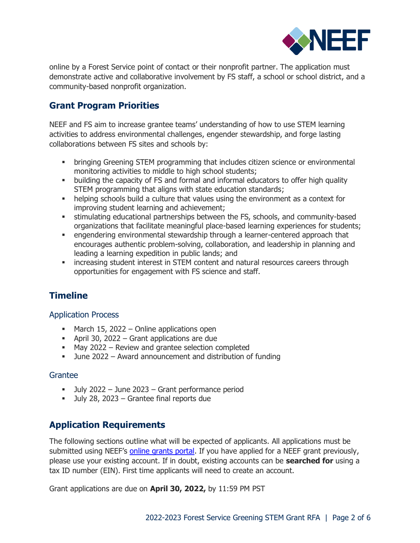

online by a Forest Service point of contact or their nonprofit partner. The application must demonstrate active and collaborative involvement by FS staff, a school or school district, and a community-based nonprofit organization.

# **Grant Program Priorities**

NEEF and FS aim to increase grantee teams' understanding of how to use STEM learning activities to address environmental challenges, engender stewardship, and forge lasting collaborations between FS sites and schools by:

- **bringing Greening STEM programming that includes citizen science or environmental** monitoring activities to middle to high school students;
- building the capacity of FS and formal and informal educators to offer high quality STEM programming that aligns with state education standards;
- **•** helping schools build a culture that values using the environment as a context for improving student learning and achievement;
- **EXECT** stimulating educational partnerships between the FS, schools, and community-based organizations that facilitate meaningful place-based learning experiences for students;
- engendering environmental stewardship through a learner-centered approach that encourages authentic problem-solving, collaboration, and leadership in planning and leading a learning expedition in public lands; and
- **•** increasing student interest in STEM content and natural resources careers through opportunities for engagement with FS science and staff.

# **Timeline**

#### Application Process

- March 15, 2022 Online applications open
- April 30, 2022 Grant applications are due
- May 2022 Review and grantee selection completed
- June 2022 Award announcement and distribution of funding

#### Grantee

- July 2022 June 2023 Grant performance period
- July 28, 2023 Grantee final reports due

## **Application Requirements**

The following sections outline what will be expected of applicants. All applications must be submitted using NEEF's [online grants portal.](https://www.grantinterface.com/Common/LogOn.aspx?eqs=OEpobC3UY-IJBz6shkZvJg2) If you have applied for a NEEF grant previously, please use your existing account. If in doubt, existing accounts can be **searched for** using a tax ID number (EIN). First time applicants will need to create an account.

Grant applications are due on **April 30, 2022,** by 11:59 PM PST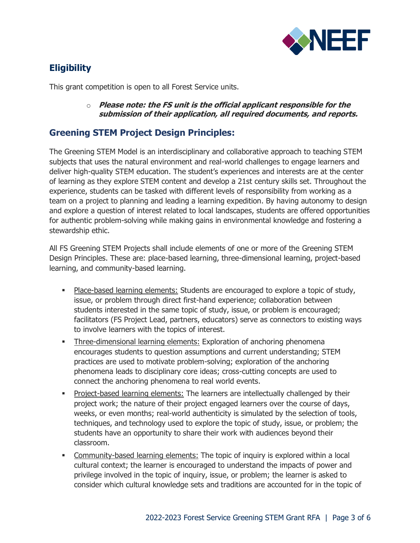

# **Eligibility**

This grant competition is open to all Forest Service units.

o **Please note: the FS unit is the official applicant responsible for the submission of their application, all required documents, and reports.**

# **Greening STEM Project Design Principles:**

The Greening STEM Model is an interdisciplinary and collaborative approach to teaching STEM subjects that uses the natural environment and real-world challenges to engage learners and deliver high-quality STEM education. The student's experiences and interests are at the center of learning as they explore STEM content and develop a 21st century skills set. Throughout the experience, students can be tasked with different levels of responsibility from working as a team on a project to planning and leading a learning expedition. By having autonomy to design and explore a question of interest related to local landscapes, students are offered opportunities for authentic problem-solving while making gains in environmental knowledge and fostering a stewardship ethic.

All FS Greening STEM Projects shall include elements of one or more of the Greening STEM Design Principles. These are: place-based learning, three-dimensional learning, project-based learning, and community-based learning.

- **Place-based learning elements: Students are encouraged to explore a topic of study,** issue, or problem through direct first-hand experience; collaboration between students interested in the same topic of study, issue, or problem is encouraged; facilitators (FS Project Lead, partners, educators) serve as connectors to existing ways to involve learners with the topics of interest.
- Three-dimensional learning elements: Exploration of anchoring phenomena encourages students to question assumptions and current understanding; STEM practices are used to motivate problem-solving; exploration of the anchoring phenomena leads to disciplinary core ideas; cross-cutting concepts are used to connect the anchoring phenomena to real world events.
- **•** Project-based learning elements: The learners are intellectually challenged by their project work; the nature of their project engaged learners over the course of days, weeks, or even months; real-world authenticity is simulated by the selection of tools, techniques, and technology used to explore the topic of study, issue, or problem; the students have an opportunity to share their work with audiences beyond their classroom.
- **EXEDENT** Community-based learning elements: The topic of inquiry is explored within a local cultural context; the learner is encouraged to understand the impacts of power and privilege involved in the topic of inquiry, issue, or problem; the learner is asked to consider which cultural knowledge sets and traditions are accounted for in the topic of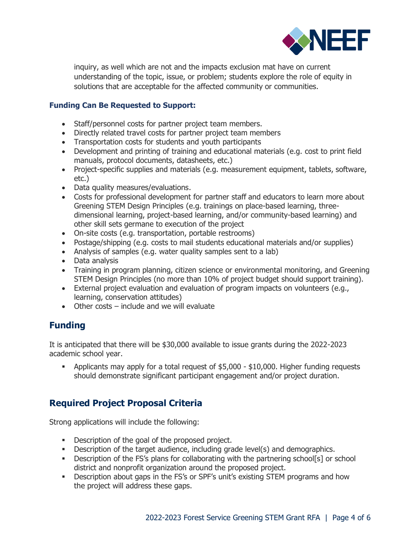

inquiry, as well which are not and the impacts exclusion mat have on current understanding of the topic, issue, or problem; students explore the role of equity in solutions that are acceptable for the affected community or communities.

#### **Funding Can Be Requested to Support:**

- Staff/personnel costs for partner project team members.
- Directly related travel costs for partner project team members
- Transportation costs for students and youth participants
- Development and printing of training and educational materials (e.g. cost to print field manuals, protocol documents, datasheets, etc.)
- Project-specific supplies and materials (e.g. measurement equipment, tablets, software, etc.)
- Data quality measures/evaluations.
- Costs for professional development for partner staff and educators to learn more about Greening STEM Design Principles (e.g. trainings on place-based learning, threedimensional learning, project-based learning, and/or community-based learning) and other skill sets germane to execution of the project
- On-site costs (e.g. transportation, portable restrooms)
- Postage/shipping (e.g. costs to mail students educational materials and/or supplies)
- Analysis of samples (e.g. water quality samples sent to a lab)
- Data analysis
- Training in program planning, citizen science or environmental monitoring, and Greening STEM Design Principles (no more than 10% of project budget should support training).
- External project evaluation and evaluation of program impacts on volunteers (e.g., learning, conservation attitudes)
- Other costs include and we will evaluate

# **Funding**

It is anticipated that there will be \$30,000 available to issue grants during the 2022-2023 academic school year.

**•** Applicants may apply for a total request of \$5,000 - \$10,000. Higher funding requests should demonstrate significant participant engagement and/or project duration.

# **Required Project Proposal Criteria**

Strong applications will include the following:

- Description of the goal of the proposed project.
- **•** Description of the target audience, including grade level(s) and demographics.
- **•** Description of the FS's plans for collaborating with the partnering school[s] or school district and nonprofit organization around the proposed project.
- Description about gaps in the FS's or SPF's unit's existing STEM programs and how the project will address these gaps.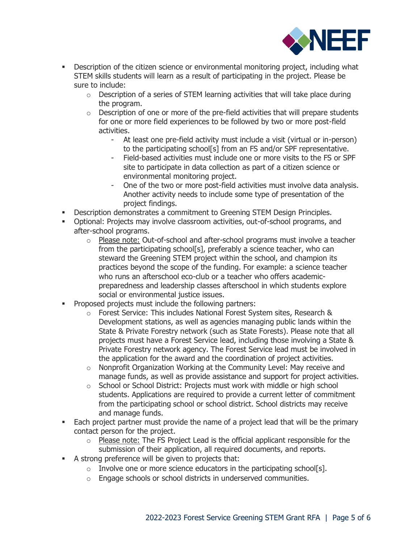

- **•** Description of the citizen science or environmental monitoring project, including what STEM skills students will learn as a result of participating in the project. Please be sure to include:
	- $\circ$  Description of a series of STEM learning activities that will take place during the program.
	- $\circ$  Description of one or more of the pre-field activities that will prepare students for one or more field experiences to be followed by two or more post-field activities.
		- At least one pre-field activity must include a visit (virtual or in-person) to the participating school[s] from an FS and/or SPF representative.
		- Field-based activities must include one or more visits to the FS or SPF site to participate in data collection as part of a citizen science or environmental monitoring project.
		- One of the two or more post-field activities must involve data analysis. Another activity needs to include some type of presentation of the project findings.
- **Description demonstrates a commitment to Greening STEM Design Principles.**
- Optional: Projects may involve classroom activities, out-of-school programs, and after-school programs.
	- $\circ$  Please note: Out-of-school and after-school programs must involve a teacher from the participating school[s], preferably a science teacher, who can steward the Greening STEM project within the school, and champion its practices beyond the scope of the funding. For example: a science teacher who runs an afterschool eco-club or a teacher who offers academicpreparedness and leadership classes afterschool in which students explore social or environmental justice issues.
- **•** Proposed projects must include the following partners:
	- o Forest Service: This includes National Forest System sites, Research & Development stations, as well as agencies managing public lands within the State & Private Forestry network (such as State Forests). Please note that all projects must have a Forest Service lead, including those involving a State & Private Forestry network agency. The Forest Service lead must be involved in the application for the award and the coordination of project activities.
	- $\circ$  Nonprofit Organization Working at the Community Level: May receive and manage funds, as well as provide assistance and support for project activities.
	- o School or School District: Projects must work with middle or high school students. Applications are required to provide a current letter of commitment from the participating school or school district. School districts may receive and manage funds.
- Each project partner must provide the name of a project lead that will be the primary contact person for the project.
	- $\circ$  Please note: The FS Project Lead is the official applicant responsible for the submission of their application, all required documents, and reports.
- A strong preference will be given to projects that:
	- $\circ$  Involve one or more science educators in the participating school[s].
	- o Engage schools or school districts in underserved communities.